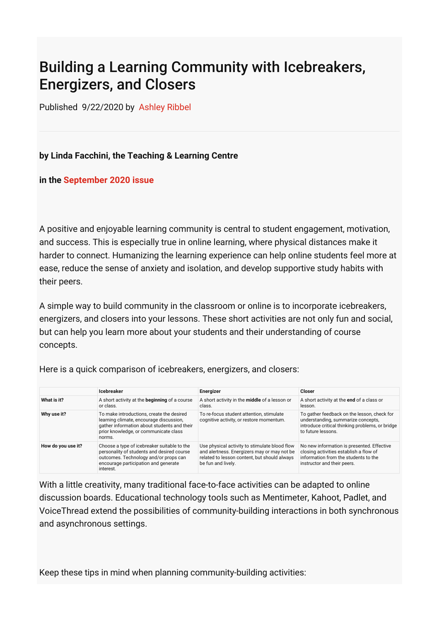## Building a Learning Community with Icebreakers, Energizers, and Closers

Published 9/22/2020 by [Ashley Ribbel](https://employees.senecacollege.ca/people/ashley-ribbel)

## **by Linda Facchini, the Teaching & Learning Centre**

## **in the [September 2020 issue](https://employees.senecacollege.ca/spaces/153/academic-newsletter/september-2020/)**

A positive and enjoyable learning community is central to student engagement, motivation, and success. This is especially true in online learning, where physical distances make it harder to connect. Humanizing the learning experience can help online students feel more at ease, reduce the sense of anxiety and isolation, and develop supportive study habits with their peers.

A simple way to build community in the classroom or online is to incorporate icebreakers, energizers, and closers into your lessons. These short activities are not only fun and social, but can help you learn more about your students and their understanding of course concepts.

|                    | <b>Icebreaker</b>                                                                                                                                                                       | <b>Energizer</b>                                                                                                                                                   | <b>Closer</b>                                                                                                                                               |
|--------------------|-----------------------------------------------------------------------------------------------------------------------------------------------------------------------------------------|--------------------------------------------------------------------------------------------------------------------------------------------------------------------|-------------------------------------------------------------------------------------------------------------------------------------------------------------|
| What is it?        | A short activity at the <b>beginning</b> of a course<br>or class.                                                                                                                       | A short activity in the middle of a lesson or<br>class.                                                                                                            | A short activity at the end of a class or<br>lesson.                                                                                                        |
| Why use it?        | To make introductions, create the desired<br>learning climate, encourage discussion,<br>gather information about students and their<br>prior knowledge, or communicate class<br>norms.  | To re-focus student attention, stimulate<br>cognitive activity, or restore momentum.                                                                               | To gather feedback on the lesson, check for<br>understanding, summarize concepts,<br>introduce critical thinking problems, or bridge<br>to future lessons.  |
| How do you use it? | Choose a type of icebreaker suitable to the<br>personality of students and desired course<br>outcomes. Technology and/or props can<br>encourage participation and generate<br>interest. | Use physical activity to stimulate blood flow<br>and alertness. Energizers may or may not be<br>related to lesson content, but should always<br>be fun and lively. | No new information is presented. Effective<br>closing activities establish a flow of<br>information from the students to the<br>instructor and their peers. |

Here is a quick comparison of icebreakers, energizers, and closers:

With a little creativity, many traditional face-to-face activities can be adapted to online discussion boards. Educational technology tools such as Mentimeter, Kahoot, Padlet, and VoiceThread extend the possibilities of community-building interactions in both synchronous and asynchronous settings.

Keep these tips in mind when planning community-building activities: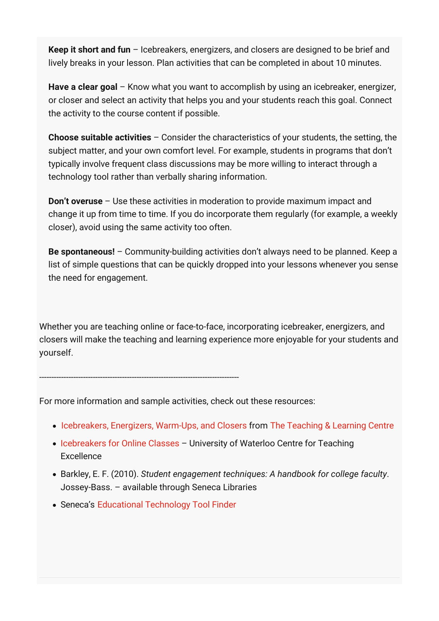**Keep it short and fun** – Icebreakers, energizers, and closers are designed to be brief and lively breaks in your lesson. Plan activities that can be completed in about 10 minutes.

**Have a clear goal** – Know what you want to accomplish by using an icebreaker, energizer, or closer and select an activity that helps you and your students reach this goal. Connect the activity to the course content if possible.

**Choose suitable activities** – Consider the characteristics of your students, the setting, the subject matter, and your own comfort level. For example, students in programs that don't typically involve frequent class discussions may be more willing to interact through a technology tool rather than verbally sharing information.

**Don't overuse** – Use these activities in moderation to provide maximum impact and change it up from time to time. If you do incorporate them regularly (for example, a weekly closer), avoid using the same activity too often.

**Be spontaneous!** – Community-building activities don't always need to be planned. Keep a list of simple questions that can be quickly dropped into your lessons whenever you sense the need for engagement.

Whether you are teaching online or face-to-face, incorporating icebreaker, energizers, and closers will make the teaching and learning experience more enjoyable for your students and yourself.

For more information and sample activities, check out these resources:

----------------------------------------------------------------------------------

- [Icebreakers, Energizers, Warm-Ups, and Closers](https://employees.senecacollege.ca/spaces/39/the-teaching-learning-centre/articles/press-release/7587/icebreakers-energizers-warm-ups-and-closers) from [The Teaching & Learning Centre](https://employees.senecacollege.ca/spaces/39/the-teaching-learning-centre/home)
- [Icebreakers for Online Classes](https://uwaterloo.ca/centre-for-teaching-excellence/teaching-resources/teaching-tips/teaching-tips-creating-positive-learning-environment/icebreakers-online-classes) University of Waterloo Centre for Teaching Excellence
- Barkley, E. F. (2010). *Student engagement techniques: A handbook for college faculty*. Jossey-Bass. – available through Seneca Libraries
- Seneca's [Educational Technology Tool Finder](https://employees.senecacollege.ca/spaces/35/educational-technology-advisory-committee-etac/wiki/view/578/educational-technology-tool-finder)